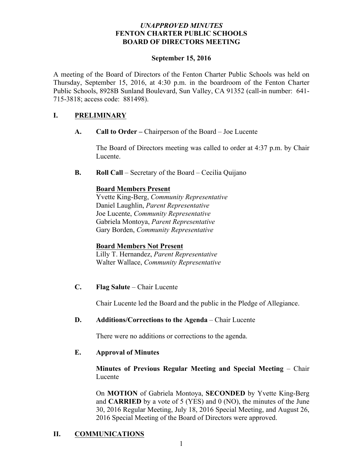## *UNAPPROVED MINUTES* **FENTON CHARTER PUBLIC SCHOOLS BOARD OF DIRECTORS MEETING**

#### **September 15, 2016**

A meeting of the Board of Directors of the Fenton Charter Public Schools was held on Thursday, September 15, 2016, at 4:30 p.m. in the boardroom of the Fenton Charter Public Schools, 8928B Sunland Boulevard, Sun Valley, CA 91352 (call-in number: 641- 715-3818; access code: 881498).

## **I. PRELIMINARY**

**A. Call to Order –** Chairperson of the Board – Joe Lucente

The Board of Directors meeting was called to order at 4:37 p.m. by Chair Lucente.

**B. Roll Call** – Secretary of the Board – Cecilia Quijano

## **Board Members Present**

Yvette King-Berg, *Community Representative* Daniel Laughlin, *Parent Representative* Joe Lucente, *Community Representative* Gabriela Montoya, *Parent Representative* Gary Borden, *Community Representative*

#### **Board Members Not Present**

Lilly T. Hernandez, *Parent Representative* Walter Wallace, *Community Representative* 

**C. Flag Salute** – Chair Lucente

Chair Lucente led the Board and the public in the Pledge of Allegiance.

**D. Additions/Corrections to the Agenda** – Chair Lucente

There were no additions or corrections to the agenda.

## **E. Approval of Minutes**

**Minutes of Previous Regular Meeting and Special Meeting** – Chair Lucente

On **MOTION** of Gabriela Montoya, **SECONDED** by Yvette King-Berg and **CARRIED** by a vote of 5 (YES) and 0 (NO), the minutes of the June 30, 2016 Regular Meeting, July 18, 2016 Special Meeting, and August 26, 2016 Special Meeting of the Board of Directors were approved.

# **II. COMMUNICATIONS**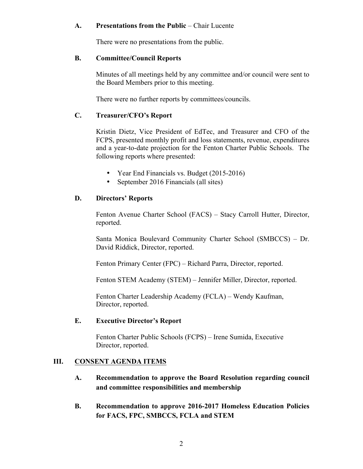## **A. Presentations from the Public** – Chair Lucente

There were no presentations from the public.

#### **B. Committee/Council Reports**

Minutes of all meetings held by any committee and/or council were sent to the Board Members prior to this meeting.

There were no further reports by committees/councils.

## **C. Treasurer/CFO's Report**

Kristin Dietz, Vice President of EdTec, and Treasurer and CFO of the FCPS, presented monthly profit and loss statements, revenue, expenditures and a year-to-date projection for the Fenton Charter Public Schools. The following reports where presented:

- Year End Financials vs. Budget (2015-2016)
- September 2016 Financials (all sites)

# **D. Directors' Reports**

Fenton Avenue Charter School (FACS) – Stacy Carroll Hutter, Director, reported.

Santa Monica Boulevard Community Charter School (SMBCCS) – Dr. David Riddick, Director, reported.

Fenton Primary Center (FPC) – Richard Parra, Director, reported.

Fenton STEM Academy (STEM) – Jennifer Miller, Director, reported.

Fenton Charter Leadership Academy (FCLA) – Wendy Kaufman, Director, reported.

#### **E. Executive Director's Report**

Fenton Charter Public Schools (FCPS) – Irene Sumida, Executive Director, reported.

# **III. CONSENT AGENDA ITEMS**

- **A. Recommendation to approve the Board Resolution regarding council and committee responsibilities and membership**
- **B. Recommendation to approve 2016-2017 Homeless Education Policies for FACS, FPC, SMBCCS, FCLA and STEM**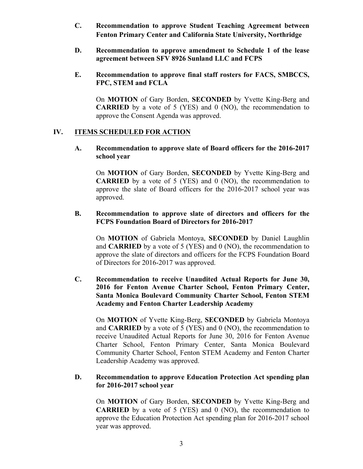- **C. Recommendation to approve Student Teaching Agreement between Fenton Primary Center and California State University, Northridge**
- **D. Recommendation to approve amendment to Schedule 1 of the lease agreement between SFV 8926 Sunland LLC and FCPS**
- **E. Recommendation to approve final staff rosters for FACS, SMBCCS, FPC, STEM and FCLA**

On **MOTION** of Gary Borden, **SECONDED** by Yvette King-Berg and **CARRIED** by a vote of 5 (YES) and 0 (NO), the recommendation to approve the Consent Agenda was approved.

## **IV. ITEMS SCHEDULED FOR ACTION**

## **A. Recommendation to approve slate of Board officers for the 2016-2017 school year**

On **MOTION** of Gary Borden, **SECONDED** by Yvette King-Berg and **CARRIED** by a vote of 5 (YES) and 0 (NO), the recommendation to approve the slate of Board officers for the 2016-2017 school year was approved.

## **B. Recommendation to approve slate of directors and officers for the FCPS Foundation Board of Directors for 2016-2017**

On **MOTION** of Gabriela Montoya, **SECONDED** by Daniel Laughlin and **CARRIED** by a vote of 5 (YES) and 0 (NO), the recommendation to approve the slate of directors and officers for the FCPS Foundation Board of Directors for 2016-2017 was approved.

**C. Recommendation to receive Unaudited Actual Reports for June 30, 2016 for Fenton Avenue Charter School, Fenton Primary Center, Santa Monica Boulevard Community Charter School, Fenton STEM Academy and Fenton Charter Leadership Academy** 

On **MOTION** of Yvette King-Berg, **SECONDED** by Gabriela Montoya and **CARRIED** by a vote of 5 (YES) and 0 (NO), the recommendation to receive Unaudited Actual Reports for June 30, 2016 for Fenton Avenue Charter School, Fenton Primary Center, Santa Monica Boulevard Community Charter School, Fenton STEM Academy and Fenton Charter Leadership Academy was approved.

## **D. Recommendation to approve Education Protection Act spending plan for 2016-2017 school year**

On **MOTION** of Gary Borden, **SECONDED** by Yvette King-Berg and **CARRIED** by a vote of 5 (YES) and 0 (NO), the recommendation to approve the Education Protection Act spending plan for 2016-2017 school year was approved.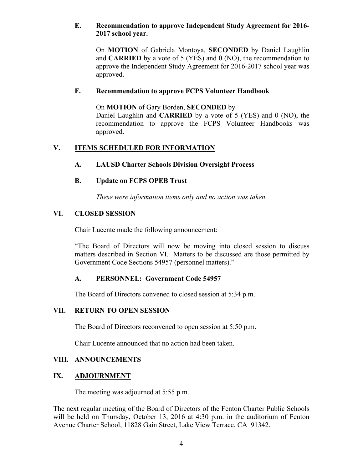## **E. Recommendation to approve Independent Study Agreement for 2016- 2017 school year.**

On **MOTION** of Gabriela Montoya, **SECONDED** by Daniel Laughlin and **CARRIED** by a vote of 5 (YES) and 0 (NO), the recommendation to approve the Independent Study Agreement for 2016-2017 school year was approved.

## **F. Recommendation to approve FCPS Volunteer Handbook**

On **MOTION** of Gary Borden, **SECONDED** by Daniel Laughlin and **CARRIED** by a vote of 5 (YES) and 0 (NO), the recommendation to approve the FCPS Volunteer Handbooks was approved.

# **V. ITEMS SCHEDULED FOR INFORMATION**

# **A. LAUSD Charter Schools Division Oversight Process**

# **B. Update on FCPS OPEB Trust**

*These were information items only and no action was taken.*

# **VI. CLOSED SESSION**

Chair Lucente made the following announcement:

"The Board of Directors will now be moving into closed session to discuss matters described in Section VI. Matters to be discussed are those permitted by Government Code Sections 54957 (personnel matters)."

# **A. PERSONNEL: Government Code 54957**

The Board of Directors convened to closed session at 5:34 p.m.

# **VII. RETURN TO OPEN SESSION**

The Board of Directors reconvened to open session at 5:50 p.m.

Chair Lucente announced that no action had been taken.

# **VIII. ANNOUNCEMENTS**

# **IX. ADJOURNMENT**

The meeting was adjourned at 5:55 p.m.

The next regular meeting of the Board of Directors of the Fenton Charter Public Schools will be held on Thursday, October 13, 2016 at 4:30 p.m. in the auditorium of Fenton Avenue Charter School, 11828 Gain Street, Lake View Terrace, CA 91342.